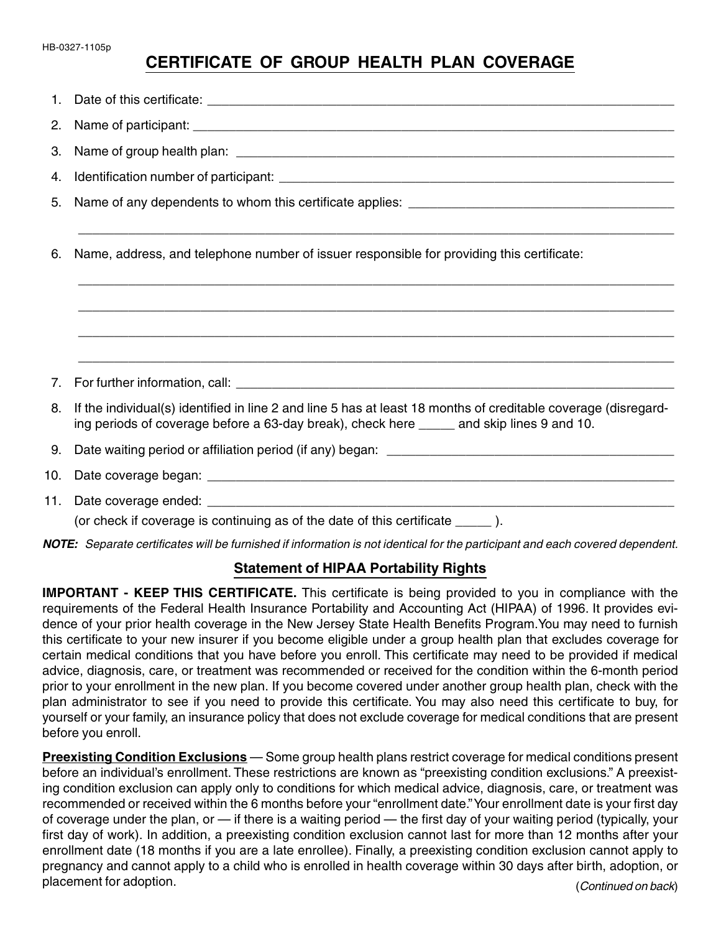## **CERTIFICATE OF GROUP HEALTH PLAN COVERAGE**

| 3.  |                                                                                                                                                                                                             |
|-----|-------------------------------------------------------------------------------------------------------------------------------------------------------------------------------------------------------------|
| 4.  |                                                                                                                                                                                                             |
| 5.  |                                                                                                                                                                                                             |
| 6.  | Name, address, and telephone number of issuer responsible for providing this certificate:                                                                                                                   |
|     |                                                                                                                                                                                                             |
|     |                                                                                                                                                                                                             |
| 7.  |                                                                                                                                                                                                             |
| 8.  | If the individual(s) identified in line 2 and line 5 has at least 18 months of creditable coverage (disregard-<br>ing periods of coverage before a 63-day break), check here _____ and skip lines 9 and 10. |
| 9.  |                                                                                                                                                                                                             |
| 10. |                                                                                                                                                                                                             |
|     | (or check if coverage is continuing as of the date of this certificate _____).                                                                                                                              |

**NOTE:** Separate certificates will be furnished if information is not identical for the participant and each covered dependent.

## **Statement of HIPAA Portability Rights**

**IMPORTANT - KEEP THIS CERTIFICATE.** This certificate is being provided to you in compliance with the requirements of the Federal Health Insurance Portability and Accounting Act (HIPAA) of 1996. It provides evidence of your prior health coverage in the New Jersey State Health Benefits Program.You may need to furnish this certificate to your new insurer if you become eligible under a group health plan that excludes coverage for certain medical conditions that you have before you enroll. This certificate may need to be provided if medical advice, diagnosis, care, or treatment was recommended or received for the condition within the 6-month period prior to your enrollment in the new plan. If you become covered under another group health plan, check with the plan administrator to see if you need to provide this certificate. You may also need this certificate to buy, for yourself or your family, an insurance policy that does not exclude coverage for medical conditions that are present before you enroll.

**Preexisting Condition Exclusions** — Some group health plans restrict coverage for medical conditions present before an individual's enrollment. These restrictions are known as "preexisting condition exclusions." A preexisting condition exclusion can apply only to conditions for which medical advice, diagnosis, care, or treatment was recommended or received within the 6 months before your "enrollment date." Your enrollment date is your first day of coverage under the plan, or — if there is a waiting period — the first day of your waiting period (typically, your first day of work). In addition, a preexisting condition exclusion cannot last for more than 12 months after your enrollment date (18 months if you are a late enrollee). Finally, a preexisting condition exclusion cannot apply to pregnancy and cannot apply to a child who is enrolled in health coverage within 30 days after birth, adoption, or placement for adoption. The state of the state of the state of the state of the state of the state of the state of the state of the state of the state of the state of the state of the state of the state of the state of the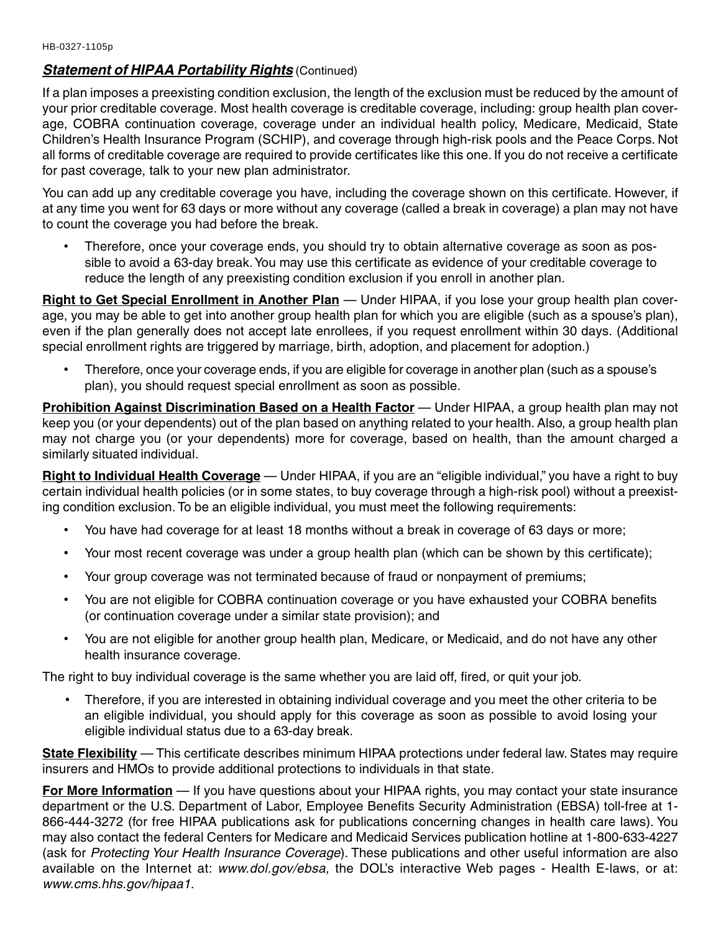## **Statement of HIPAA Portability Rights (Continued)**

If a plan imposes a preexisting condition exclusion, the length of the exclusion must be reduced by the amount of your prior creditable coverage. Most health coverage is creditable coverage, including: group health plan coverage, COBRA continuation coverage, coverage under an individual health policy, Medicare, Medicaid, State Children's Health Insurance Program (SCHIP), and coverage through high-risk pools and the Peace Corps. Not all forms of creditable coverage are required to provide certificates like this one. If you do not receive a certificate for past coverage, talk to your new plan administrator.

You can add up any creditable coverage you have, including the coverage shown on this certificate. However, if at any time you went for 63 days or more without any coverage (called a break in coverage) a plan may not have to count the coverage you had before the break.

• Therefore, once your coverage ends, you should try to obtain alternative coverage as soon as possible to avoid a 63-day break. You may use this certificate as evidence of your creditable coverage to reduce the length of any preexisting condition exclusion if you enroll in another plan.

**Right to Get Special Enrollment in Another Plan** — Under HIPAA, if you lose your group health plan coverage, you may be able to get into another group health plan for which you are eligible (such as a spouse's plan), even if the plan generally does not accept late enrollees, if you request enrollment within 30 days. (Additional special enrollment rights are triggered by marriage, birth, adoption, and placement for adoption.)

• Therefore, once your coverage ends, if you are eligible for coverage in another plan (such as a spouse's plan), you should request special enrollment as soon as possible.

**Prohibition Against Discrimination Based on a Health Factor** — Under HIPAA, a group health plan may not keep you (or your dependents) out of the plan based on anything related to your health. Also, a group health plan may not charge you (or your dependents) more for coverage, based on health, than the amount charged a similarly situated individual.

**Right to Individual Health Coverage** — Under HIPAA, if you are an "eligible individual," you have a right to buy certain individual health policies (or in some states, to buy coverage through a high-risk pool) without a preexisting condition exclusion. To be an eligible individual, you must meet the following requirements:

- You have had coverage for at least 18 months without a break in coverage of 63 days or more;
- Your most recent coverage was under a group health plan (which can be shown by this certificate);
- Your group coverage was not terminated because of fraud or nonpayment of premiums;
- You are not eligible for COBRA continuation coverage or you have exhausted your COBRA benefits (or continuation coverage under a similar state provision); and
- You are not eligible for another group health plan, Medicare, or Medicaid, and do not have any other health insurance coverage.

The right to buy individual coverage is the same whether you are laid off, fired, or quit your job.

• Therefore, if you are interested in obtaining individual coverage and you meet the other criteria to be an eligible individual, you should apply for this coverage as soon as possible to avoid losing your eligible individual status due to a 63-day break.

**State Flexibility** — This certificate describes minimum HIPAA protections under federal law. States may require insurers and HMOs to provide additional protections to individuals in that state.

**For More Information** — If you have questions about your HIPAA rights, you may contact your state insurance department or the U.S. Department of Labor, Employee Benefits Security Administration (EBSA) toll-free at 1- 866-444-3272 (for free HIPAA publications ask for publications concerning changes in health care laws). You may also contact the federal Centers for Medicare and Medicaid Services publication hotline at 1-800-633-4227 (ask for Protecting Your Health Insurance Coverage). These publications and other useful information are also available on the Internet at: www.dol.gov/ebsa, the DOL's interactive Web pages - Health E-laws, or at: www.cms.hhs.gov/hipaa1.